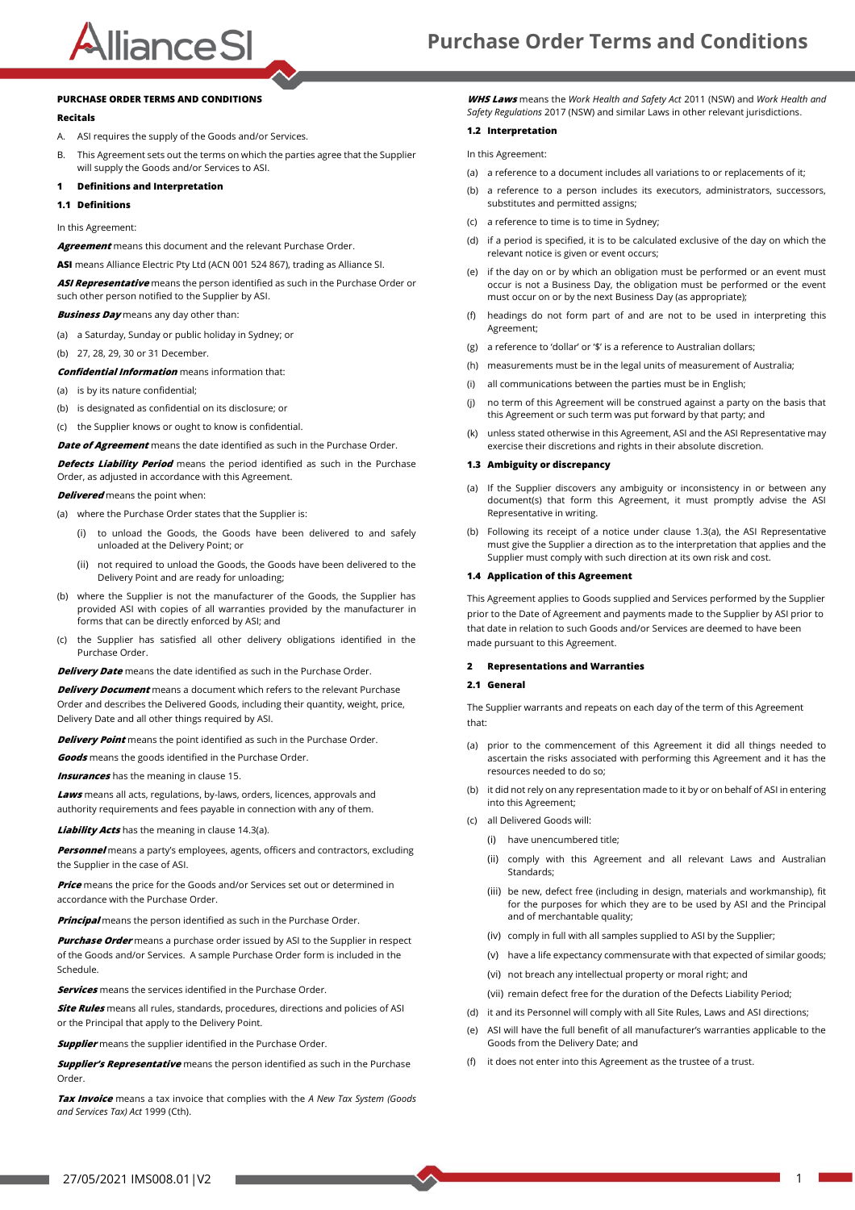## AllianceSI

#### **PURCHASE ORDER TERMS AND CONDITIONS**

#### **Recitals**

- A. ASI requires the supply of the Goods and/or Services.
- B. This Agreement sets out the terms on which the parties agree that the Supplier will supply the Goods and/or Services to ASI.

#### <span id="page-0-3"></span>**1 Definitions and Interpretation**

**1.1 Definitions**

In this Agreement:

**Agreement** means this document and the relevant Purchase Order.

**ASI** means Alliance Electric Pty Ltd (ACN 001 524 867), trading as Alliance SI.

**ASI Representative** means the person identified as such in the Purchase Order or such other person notified to the Supplier by ASI.

**Business Day** means any day other than:

- (a) a Saturday, Sunday or public holiday in Sydney; or
- (b) 27, 28, 29, 30 or 31 December.

**Confidential Information** means information that:

- (a) is by its nature confidential;
- (b) is designated as confidential on its disclosure; or
- (c) the Supplier knows or ought to know is confidential.

**Date of Agreement** means the date identified as such in the Purchase Order.

**Defects Liability Period** means the period identified as such in the Purchase Order, as adjusted in accordance with this Agreement.

**Delivered** means the point when:

(a) where the Purchase Order states that the Supplier is:

- (i) to unload the Goods, the Goods have been delivered to and safely unloaded at the Delivery Point; or
- (ii) not required to unload the Goods, the Goods have been delivered to the Delivery Point and are ready for unloading;
- (b) where the Supplier is not the manufacturer of the Goods, the Supplier has provided ASI with copies of all warranties provided by the manufacturer in forms that can be directly enforced by ASI; and
- (c) the Supplier has satisfied all other delivery obligations identified in the Purchase Order.

**Delivery Date** means the date identified as such in the Purchase Order.

**Delivery Document** means a document which refers to the relevant Purchase Order and describes the Delivered Goods, including their quantity, weight, price, Delivery Date and all other things required by ASI.

**Delivery Point** means the point identified as such in the Purchase Order.

**Goods** means the goods identified in the Purchase Order.

**Insurances** has the meaning in claus[e 15](#page-3-0).

**Laws** means all acts, regulations, by-laws, orders, licences, approvals and authority requirements and fees payable in connection with any of them.

**Liability Acts** has the meaning in claus[e 14.3\(](#page-2-0)[a\)](#page-2-1).

**Personnel** means a party's employees, agents, officers and contractors, excluding the Supplier in the case of ASI.

**Price** means the price for the Goods and/or Services set out or determined in accordance with the Purchase Order.

**Principal** means the person identified as such in the Purchase Order.

**Purchase Order** means a purchase order issued by ASI to the Supplier in respect of the Goods and/or Services. A sample Purchase Order form is included in the Schedule.

**Services** means the services identified in the Purchase Order.

**Site Rules** means all rules, standards, procedures, directions and policies of ASI or the Principal that apply to the Delivery Point.

**Supplier** means the supplier identified in the Purchase Order.

**Supplier's Representative** means the person identified as such in the Purchase Order.

**Tax Invoice** means a tax invoice that complies with the *A New Tax System (Goods and Services Tax) Act* 1999 (Cth).

**WHS Laws** means the *Work Health and Safety Act* 2011 (NSW) and *Work Health and Safety Regulations* 2017 (NSW) and similar Laws in other relevant jurisdictions.

#### **1.2 Interpretation**

In this Agreement:

- (a) a reference to a document includes all variations to or replacements of it;
- (b) a reference to a person includes its executors, administrators, successors substitutes and permitted assigns;
- (c) a reference to time is to time in Sydney;
- (d) if a period is specified, it is to be calculated exclusive of the day on which the relevant notice is given or event occurs;
- (e) if the day on or by which an obligation must be performed or an event must occur is not a Business Day, the obligation must be performed or the event must occur on or by the next Business Day (as appropriate);
- (f) headings do not form part of and are not to be used in interpreting this Agreement;
- (g) a reference to 'dollar' or '\$' is a reference to Australian dollars;
- (h) measurements must be in the legal units of measurement of Australia;
- (i) all communications between the parties must be in English;
- (j) no term of this Agreement will be construed against a party on the basis that this Agreement or such term was put forward by that party; and
- (k) unless stated otherwise in this Agreement, ASI and the ASI Representative may exercise their discretions and rights in their absolute discretion.

#### <span id="page-0-0"></span>**1.3 Ambiguity or discrepancy**

- <span id="page-0-1"></span>(a) If the Supplier discovers any ambiguity or inconsistency in or between any document(s) that form this Agreement, it must promptly advise the ASI Representative in writing.
- (b) Following its receipt of a notice under clause [1.3\(](#page-0-0)[a\),](#page-0-1) the ASI Representative must give the Supplier a direction as to the interpretation that applies and the Supplier must comply with such direction at its own risk and cost.

#### **1.4 Application of this Agreement**

This Agreement applies to Goods supplied and Services performed by the Supplier prior to the Date of Agreement and payments made to the Supplier by ASI prior to that date in relation to such Goods and/or Services are deemed to have been made pursuant to this Agreement.

#### <span id="page-0-4"></span>**2 Representations and Warranties**

#### <span id="page-0-2"></span>**2.1 General**

The Supplier warrants and repeats on each day of the term of this Agreement that:

- (a) prior to the commencement of this Agreement it did all things needed to ascertain the risks associated with performing this Agreement and it has the resources needed to do so;
- (b) it did not rely on any representation made to it by or on behalf of ASI in entering into this Agreement;
- (c) all Delivered Goods will:
	- (i) have unencumbered title;
	- (ii) comply with this Agreement and all relevant Laws and Australian Standards;
	- (iii) be new, defect free (including in design, materials and workmanship), fit for the purposes for which they are to be used by ASI and the Principal and of merchantable quality;
	- (iv) comply in full with all samples supplied to ASI by the Supplier;
	- (v) have a life expectancy commensurate with that expected of similar goods;
	- (vi) not breach any intellectual property or moral right; and
	- (vii) remain defect free for the duration of the Defects Liability Period;
- (d) it and its Personnel will comply with all Site Rules, Laws and ASI directions;
- (e) ASI will have the full benefit of all manufacturer's warranties applicable to the Goods from the Delivery Date; and
- (f) it does not enter into this Agreement as the trustee of a trust.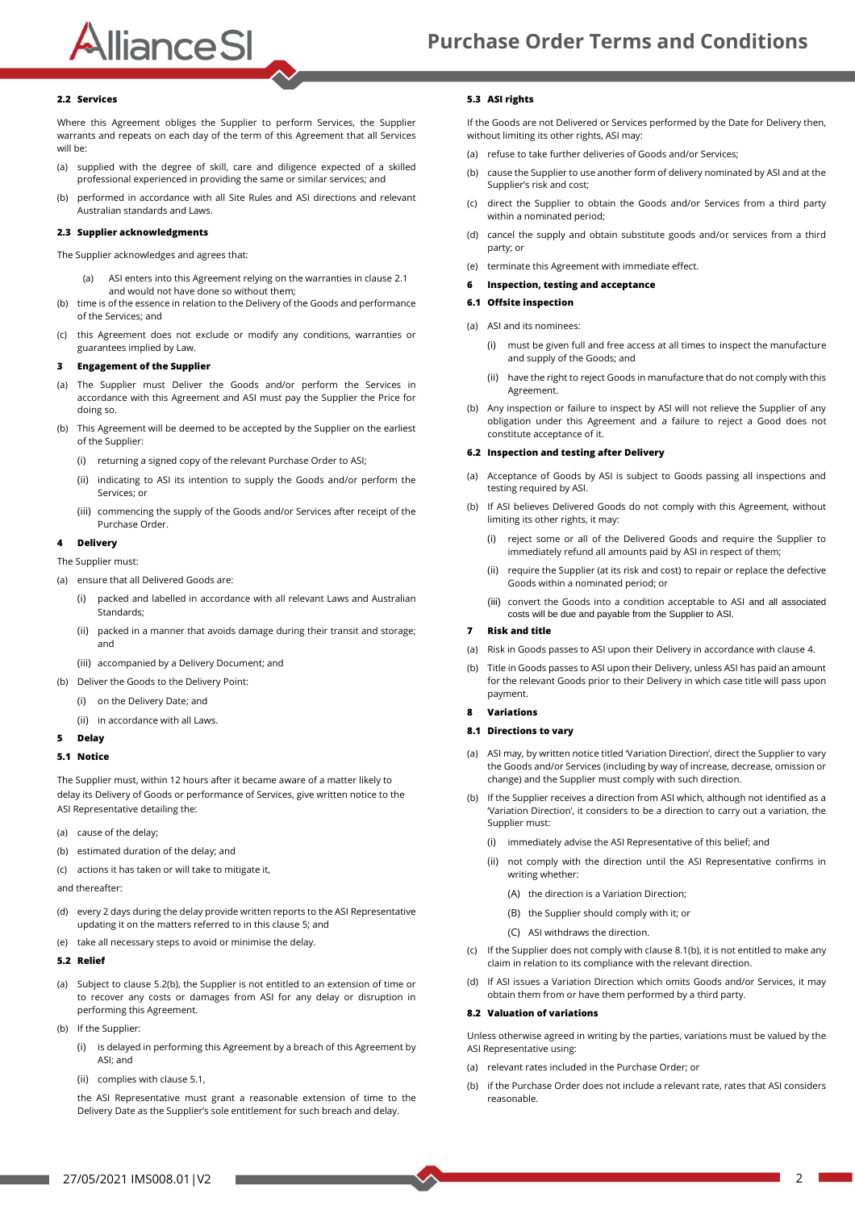### **Purchase Order Terms and Conditions**

#### **2.2 Services**

Where this Agreement obliges the Supplier to perform Services, the Supplier warrants and repeats on each day of the term of this Agreement that all Services will be:

- (a) supplied with the degree of skill, care and diligence expected of a skilled professional experienced in providing the same or similar services; and
- (b) performed in accordance with all Site Rules and ASI directions and relevant Australian standards and Laws.

#### **2.3 Supplier acknowledgments**

The Supplier acknowledges and agrees that:

AllianceSI

- (a) ASI enters into this Agreement relying on the warranties in clause [2.1](#page-0-2) and would not have done so without them;
- (b) time is of the essence in relation to the Delivery of the Goods and performance of the Services; and
- (c) this Agreement does not exclude or modify any conditions, warranties or guarantees implied by Law.

#### **3 Engagement of the Supplier**

- (a) The Supplier must Deliver the Goods and/or perform the Services in accordance with this Agreement and ASI must pay the Supplier the Price for doing so.
- (b) This Agreement will be deemed to be accepted by the Supplier on the earliest of the Supplier:
	- (i) returning a signed copy of the relevant Purchase Order to ASI;
	- (ii) indicating to ASI its intention to supply the Goods and/or perform the Services; or
	- (iii) commencing the supply of the Goods and/or Services after receipt of the Purchase Order.

#### <span id="page-1-4"></span>**4 Delivery**

The Supplier must:

- (a) ensure that all Delivered Goods are:
	- (i) packed and labelled in accordance with all relevant Laws and Australian Standards;
	- (ii) packed in a manner that avoids damage during their transit and storage; and
	- (iii) accompanied by a Delivery Document; and
- (b) Deliver the Goods to the Delivery Point:
	- (i) on the Delivery Date; and
	- (ii) in accordance with all Laws.

#### <span id="page-1-0"></span>**5 Delay**

#### <span id="page-1-3"></span>**5.1 Notice**

The Supplier must, within 12 hours after it became aware of a matter likely to delay its Delivery of Goods or performance of Services, give written notice to the ASI Representative detailing the:

- (a) cause of the delay;
- (b) estimated duration of the delay; and
- (c) actions it has taken or will take to mitigate it,

and thereafter:

- (d) every 2 days during the delay provide written reports to the ASI Representative updating it on the matters referred to in this claus[e 5;](#page-1-0) and
- (e) take all necessary steps to avoid or minimise the delay.

#### <span id="page-1-1"></span>**5.2 Relief**

- (a) Subject to claus[e 5.2\(](#page-1-1)[b\),](#page-1-2) the Supplier is not entitled to an extension of time or to recover any costs or damages from ASI for any delay or disruption in performing this Agreement.
- <span id="page-1-2"></span>(b) If the Supplier:
	- (i) is delayed in performing this Agreement by a breach of this Agreement by ASI; and
	- (ii) complies with claus[e 5.1,](#page-1-3)

the ASI Representative must grant a reasonable extension of time to the Delivery Date as the Supplier's sole entitlement for such breach and delay.

#### <span id="page-1-7"></span>**5.3 ASI rights**

If the Goods are not Delivered or Services performed by the Date for Delivery then, without limiting its other rights, ASI may:

- (a) refuse to take further deliveries of Goods and/or Services;
- (b) cause the Supplier to use another form of delivery nominated by ASI and at the Supplier's risk and cost;
- (c) direct the Supplier to obtain the Goods and/or Services from a third party within a nominated period;
- (d) cancel the supply and obtain substitute goods and/or services from a third party; or
- (e) terminate this Agreement with immediate effect.

#### **6 Inspection, testing and acceptance**

#### **6.1 Offsite inspection**

- (a) ASI and its nominees:
	- (i) must be given full and free access at all times to inspect the manufacture and supply of the Goods; and
	- (ii) have the right to reject Goods in manufacture that do not comply with this Agreement.
- (b) Any inspection or failure to inspect by ASI will not relieve the Supplier of any obligation under this Agreement and a failure to reject a Good does not constitute acceptance of it.

#### <span id="page-1-8"></span>**6.2 Inspection and testing after Delivery**

- (a) Acceptance of Goods by ASI is subject to Goods passing all inspections and testing required by ASI.
- (b) If ASI believes Delivered Goods do not comply with this Agreement, without limiting its other rights, it may:
	- (i) reject some or all of the Delivered Goods and require the Supplier to immediately refund all amounts paid by ASI in respect of them;
	- (ii) require the Supplier (at its risk and cost) to repair or replace the defective Goods within a nominated period; or
	- (iii) convert the Goods into a condition acceptable to ASI and all associated costs will be due and payable from the Supplier to ASI.

#### <span id="page-1-9"></span>**7 Risk and title**

- (a) Risk in Goods passes to ASI upon their Delivery in accordance with claus[e 4.](#page-1-4)
- (b) Title in Goods passes to ASI upon their Delivery, unless ASI has paid an amount for the relevant Goods prior to their Delivery in which case title will pass upon payment.
- **8 Variations**

#### <span id="page-1-5"></span>**8.1 Directions to vary**

- (a) ASI may, by written notice titled 'Variation Direction', direct the Supplier to vary the Goods and/or Services (including by way of increase, decrease, omission or change) and the Supplier must comply with such direction.
- <span id="page-1-6"></span>(b) If the Supplier receives a direction from ASI which, although not identified as a 'Variation Direction', it considers to be a direction to carry out a variation, the Supplier must:
	- (i) immediately advise the ASI Representative of this belief; and
	- (ii) not comply with the direction until the ASI Representative confirms in writing whether:
		- (A) the direction is a Variation Direction;
		- (B) the Supplier should comply with it; or
		- (C) ASI withdraws the direction.
- (c) If the Supplier does not comply with claus[e 8.1\(](#page-1-5)[b\),](#page-1-6) it is not entitled to make any claim in relation to its compliance with the relevant direction.
- (d) If ASI issues a Variation Direction which omits Goods and/or Services, it may obtain them from or have them performed by a third party.

#### **8.2 Valuation of variations**

Unless otherwise agreed in writing by the parties, variations must be valued by the ASI Representative using:

- (a) relevant rates included in the Purchase Order; or
- (b) if the Purchase Order does not include a relevant rate, rates that ASI considers reasonable.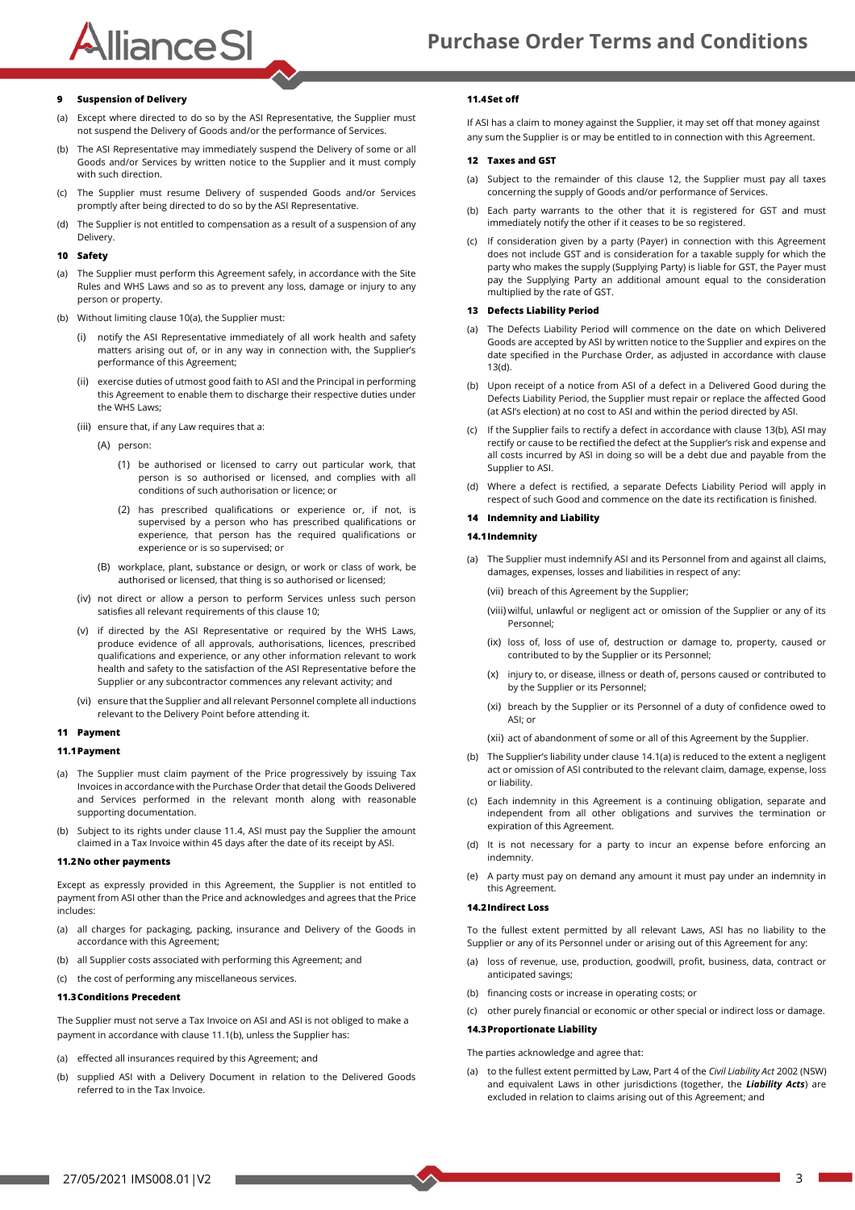### **Purchase Order Terms and Conditions**

#### **9 Suspension of Delivery**

AllianceSI

- (a) Except where directed to do so by the ASI Representative, the Supplier must not suspend the Delivery of Goods and/or the performance of Services.
- (b) The ASI Representative may immediately suspend the Delivery of some or all Goods and/or Services by written notice to the Supplier and it must comply with such direction.
- (c) The Supplier must resume Delivery of suspended Goods and/or Services promptly after being directed to do so by the ASI Representative.
- (d) The Supplier is not entitled to compensation as a result of a suspension of any Delivery.

#### <span id="page-2-2"></span>**10 Safety**

- <span id="page-2-3"></span>(a) The Supplier must perform this Agreement safely, in accordance with the Site Rules and WHS Laws and so as to prevent any loss, damage or injury to any person or property.
- (b) Without limiting claus[e 10](#page-2-2)[\(a\),](#page-2-3) the Supplier must:
	- (i) notify the ASI Representative immediately of all work health and safety matters arising out of, or in any way in connection with, the Supplier's performance of this Agreement;
	- exercise duties of utmost good faith to ASI and the Principal in performing this Agreement to enable them to discharge their respective duties under the WHS Laws;
	- (iii) ensure that, if any Law requires that a:
		- (A) person:
			- (1) be authorised or licensed to carry out particular work, that person is so authorised or licensed, and complies with all conditions of such authorisation or licence; or
			- (2) has prescribed qualifications or experience or, if not, is supervised by a person who has prescribed qualifications or experience, that person has the required qualifications or experience or is so supervised; or
		- (B) workplace, plant, substance or design, or work or class of work, be authorised or licensed, that thing is so authorised or licensed;
	- (iv) not direct or allow a person to perform Services unless such person satisfies all relevant requirements of this claus[e 10;](#page-2-2)
	- (v) if directed by the ASI Representative or required by the WHS Laws, produce evidence of all approvals, authorisations, licences, prescribed qualifications and experience, or any other information relevant to work health and safety to the satisfaction of the ASI Representative before the Supplier or any subcontractor commences any relevant activity; and
	- (vi) ensure that the Supplier and all relevant Personnel complete all inductions relevant to the Delivery Point before attending it.

#### **11 Payment**

#### <span id="page-2-5"></span>**11.1Payment**

- (a) The Supplier must claim payment of the Price progressively by issuing Tax Invoices in accordance with the Purchase Order that detail the Goods Delivered and Services performed in the relevant month along with reasonable supporting documentation.
- <span id="page-2-6"></span>(b) Subject to its rights under claus[e 11.4,](#page-2-4) ASI must pay the Supplier the amount claimed in a Tax Invoice within 45 days after the date of its receipt by ASI.

#### **11.2No other payments**

Except as expressly provided in this Agreement, the Supplier is not entitled to payment from ASI other than the Price and acknowledges and agrees that the Price includes:

- (a) all charges for packaging, packing, insurance and Delivery of the Goods in accordance with this Agreement;
- (b) all Supplier costs associated with performing this Agreement; and
- (c) the cost of performing any miscellaneous services.

#### **11.3Conditions Precedent**

The Supplier must not serve a Tax Invoice on ASI and ASI is not obliged to make a payment in accordance with claus[e 11.1\(](#page-2-5)[b\),](#page-2-6) unless the Supplier has:

- (a) effected all insurances required by this Agreement; and
- (b) supplied ASI with a Delivery Document in relation to the Delivered Goods referred to in the Tax Invoice.

#### <span id="page-2-4"></span>**11.4Set off**

If ASI has a claim to money against the Supplier, it may set off that money against any sum the Supplier is or may be entitled to in connection with this Agreement.

#### <span id="page-2-7"></span>**12 Taxes and GST**

- (a) Subject to the remainder of this clause [12,](#page-2-7) the Supplier must pay all taxes concerning the supply of Goods and/or performance of Services.
- (b) Each party warrants to the other that it is registered for GST and must immediately notify the other if it ceases to be so registered.
- (c) If consideration given by a party (Payer) in connection with this Agreement does not include GST and is consideration for a taxable supply for which the party who makes the supply (Supplying Party) is liable for GST, the Payer must pay the Supplying Party an additional amount equal to the consideration multiplied by the rate of GST.

#### <span id="page-2-8"></span>**13 Defects Liability Period**

- (a) The Defects Liability Period will commence on the date on which Delivered Goods are accepted by ASI by written notice to the Supplier and expires on the date specified in the Purchase Order, as adjusted in accordance with clause [13\(](#page-2-8)[d\).](#page-2-9)
- <span id="page-2-10"></span>(b) Upon receipt of a notice from ASI of a defect in a Delivered Good during the Defects Liability Period, the Supplier must repair or replace the affected Good (at ASI's election) at no cost to ASI and within the period directed by ASI.
- (c) If the Supplier fails to rectify a defect in accordance with claus[e 13\(](#page-2-8)[b\),](#page-2-10) ASI may rectify or cause to be rectified the defect at the Supplier's risk and expense and all costs incurred by ASI in doing so will be a debt due and payable from the Supplier to ASI.
- <span id="page-2-9"></span>(d) Where a defect is rectified, a separate Defects Liability Period will apply in respect of such Good and commence on the date its rectification is finished.

#### **14 Indemnity and Liability**

#### <span id="page-2-11"></span>**14.1Indemnity**

- <span id="page-2-12"></span>(a) The Supplier must indemnify ASI and its Personnel from and against all claims, damages, expenses, losses and liabilities in respect of any:
	- (vii) breach of this Agreement by the Supplier;
	- (viii) wilful, unlawful or negligent act or omission of the Supplier or any of its Personnel;
	- (ix) loss of, loss of use of, destruction or damage to, property, caused or contributed to by the Supplier or its Personnel;
	- (x) injury to, or disease, illness or death of, persons caused or contributed to by the Supplier or its Personnel;
	- (xi) breach by the Supplier or its Personnel of a duty of confidence owed to ASI; or
	- (xii) act of abandonment of some or all of this Agreement by the Supplier.
- (b) The Supplier's liability under clause [14.1\(](#page-2-11)[a\)](#page-2-12) is reduced to the extent a negligent act or omission of ASI contributed to the relevant claim, damage, expense, loss or liability.
- (c) Each indemnity in this Agreement is a continuing obligation, separate and independent from all other obligations and survives the termination or expiration of this Agreement.
- (d) It is not necessary for a party to incur an expense before enforcing an indemnity.
- (e) A party must pay on demand any amount it must pay under an indemnity in this Agreement.

#### **14.2Indirect Loss**

To the fullest extent permitted by all relevant Laws, ASI has no liability to the Supplier or any of its Personnel under or arising out of this Agreement for any:

- (a) loss of revenue, use, production, goodwill, profit, business, data, contract or anticipated savings;
- (b) financing costs or increase in operating costs; or
- (c) other purely financial or economic or other special or indirect loss or damage.

#### <span id="page-2-0"></span>**14.3Proportionate Liability**

The parties acknowledge and agree that:

<span id="page-2-1"></span>(a) to the fullest extent permitted by Law, Part 4 of the *Civil Liability Act* 2002 (NSW) and equivalent Laws in other jurisdictions (together, the *Liability Acts*) are excluded in relation to claims arising out of this Agreement; and

**State State**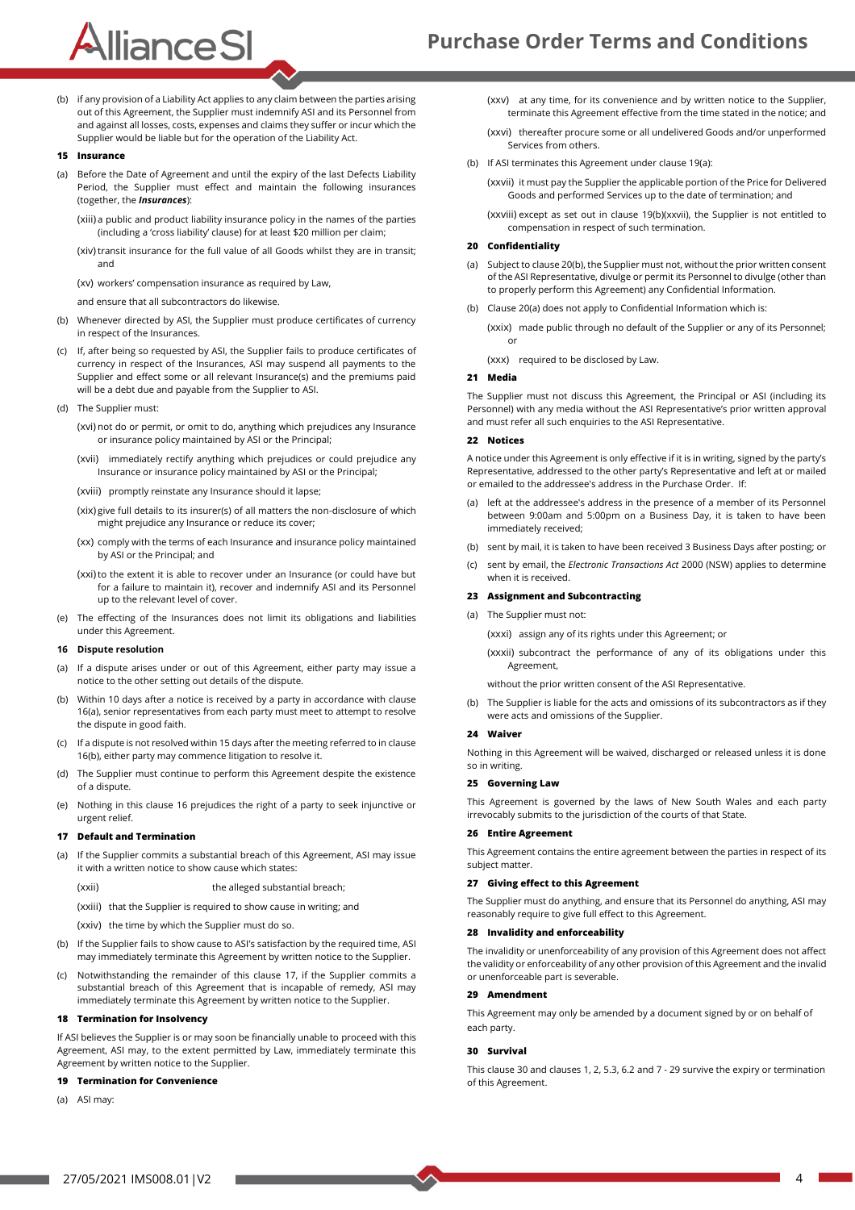# AllianceSI

(b) if any provision of a Liability Act applies to any claim between the parties arising out of this Agreement, the Supplier must indemnify ASI and its Personnel from and against all losses, costs, expenses and claims they suffer or incur which the Supplier would be liable but for the operation of the Liability Act.

#### <span id="page-3-0"></span>**15 Insurance**

- (a) Before the Date of Agreement and until the expiry of the last Defects Liability Period, the Supplier must effect and maintain the following insurances (together, the *Insurances*):
	- (xiii) a public and product liability insurance policy in the names of the parties (including a 'cross liability' clause) for at least \$20 million per claim;
	- (xiv) transit insurance for the full value of all Goods whilst they are in transit; and
	- (xv) workers' compensation insurance as required by Law,
	- and ensure that all subcontractors do likewise.
- (b) Whenever directed by ASI, the Supplier must produce certificates of currency in respect of the Insurances.
- (c) If, after being so requested by ASI, the Supplier fails to produce certificates of currency in respect of the Insurances, ASI may suspend all payments to the Supplier and effect some or all relevant Insurance(s) and the premiums paid will be a debt due and payable from the Supplier to ASI.
- (d) The Supplier must:
	- (xvi) not do or permit, or omit to do, anything which prejudices any Insurance or insurance policy maintained by ASI or the Principal;
	- (xvii) immediately rectify anything which prejudices or could prejudice any Insurance or insurance policy maintained by ASI or the Principal;
	- (xviii) promptly reinstate any Insurance should it lapse;
	- (xix) give full details to its insurer(s) of all matters the non-disclosure of which might prejudice any Insurance or reduce its cover;
	- (xx) comply with the terms of each Insurance and insurance policy maintained by ASI or the Principal; and
	- (xxi)to the extent it is able to recover under an Insurance (or could have but for a failure to maintain it), recover and indemnify ASI and its Personnel up to the relevant level of cover.
- (e) The effecting of the Insurances does not limit its obligations and liabilities under this Agreement.

#### <span id="page-3-1"></span>**16 Dispute resolution**

- <span id="page-3-2"></span>(a) If a dispute arises under or out of this Agreement, either party may issue a notice to the other setting out details of the dispute.
- <span id="page-3-3"></span>(b) Within 10 days after a notice is received by a party in accordance with clause [16\(](#page-3-1)[a\),](#page-3-2) senior representatives from each party must meet to attempt to resolve the dispute in good faith.
- (c) If a dispute is not resolved within 15 days after the meeting referred to in clause [16\(](#page-3-1)[b\),](#page-3-3) either party may commence litigation to resolve it.
- (d) The Supplier must continue to perform this Agreement despite the existence of a dispute.
- (e) Nothing in this clause [16](#page-3-1) prejudices the right of a party to seek injunctive or urgent relief.

#### <span id="page-3-4"></span>**17 Default and Termination**

- (a) If the Supplier commits a substantial breach of this Agreement, ASI may issue it with a written notice to show cause which states:
	- (xxii) the alleged substantial breach;
	- (xxiii) that the Supplier is required to show cause in writing; and
	- (xxiv) the time by which the Supplier must do so.
- (b) If the Supplier fails to show cause to ASI's satisfaction by the required time, ASI may immediately terminate this Agreement by written notice to the Supplier.
- (c) Notwithstanding the remainder of this clause [17,](#page-3-4) if the Supplier commits a substantial breach of this Agreement that is incapable of remedy, ASI may immediately terminate this Agreement by written notice to the Supplier.

#### **18 Termination for Insolvency**

If ASI believes the Supplier is or may soon be financially unable to proceed with this Agreement, ASI may, to the extent permitted by Law, immediately terminate this Agreement by written notice to the Supplier.

#### <span id="page-3-5"></span>**19 Termination for Convenience**

<span id="page-3-6"></span>(a) ASI may:

(xxv) at any time, for its convenience and by written notice to the Supplier, terminate this Agreement effective from the time stated in the notice; and

- (xxvi) thereafter procure some or all undelivered Goods and/or unperformed Services from others.
- <span id="page-3-8"></span><span id="page-3-7"></span>(b) If ASI terminates this Agreement under claus[e 19\(](#page-3-5)[a\):](#page-3-6)

(xxvii) it must pay the Supplier the applicable portion of the Price for Delivered Goods and performed Services up to the date of termination; and

(xxviii) except as set out in clause [19](#page-3-5)[\(b\)](#page-3-7)[\(xxvii\),](#page-3-8) the Supplier is not entitled to compensation in respect of such termination.

#### <span id="page-3-9"></span>**20 Confidentiality**

- <span id="page-3-11"></span>(a) Subject to claus[e 20](#page-3-9)[\(b\),](#page-3-10) the Supplier must not, without the prior written consent of the ASI Representative, divulge or permit its Personnel to divulge (other than to properly perform this Agreement) any Confidential Information.
- <span id="page-3-10"></span>(b) Claus[e 20\(](#page-3-9)[a\)](#page-3-11) does not apply to Confidential Information which is:

(xxix) made public through no default of the Supplier or any of its Personnel; or

(xxx) required to be disclosed by Law.

#### **21 Media**

The Supplier must not discuss this Agreement, the Principal or ASI (including its Personnel) with any media without the ASI Representative's prior written approval and must refer all such enquiries to the ASI Representative.

#### **22 Notices**

A notice under this Agreement is only effective if it is in writing, signed by the party's Representative, addressed to the other party's Representative and left at or mailed or emailed to the addressee's address in the Purchase Order. If:

- (a) left at the addressee's address in the presence of a member of its Personnel between 9:00am and 5:00pm on a Business Day, it is taken to have been immediately received;
- (b) sent by mail, it is taken to have been received 3 Business Days after posting; or
- (c) sent by email, the *Electronic Transactions Act* 2000 (NSW) applies to determine when it is received.

#### **23 Assignment and Subcontracting**

(a) The Supplier must not:

(xxxi) assign any of its rights under this Agreement; or

(xxxii) subcontract the performance of any of its obligations under this Agreement,

without the prior written consent of the ASI Representative.

(b) The Supplier is liable for the acts and omissions of its subcontractors as if they were acts and omissions of the Supplier.

#### **24 Waiver**

Nothing in this Agreement will be waived, discharged or released unless it is done so in writing.

#### **25 Governing Law**

This Agreement is governed by the laws of New South Wales and each party irrevocably submits to the jurisdiction of the courts of that State.

#### **26 Entire Agreement**

This Agreement contains the entire agreement between the parties in respect of its subject matter.

#### **27 Giving effect to this Agreement**

The Supplier must do anything, and ensure that its Personnel do anything, ASI may reasonably require to give full effect to this Agreement.

#### **28 Invalidity and enforceability**

The invalidity or unenforceability of any provision of this Agreement does not affect the validity or enforceability of any other provision of this Agreement and the invalid or unenforceable part is severable.

#### <span id="page-3-13"></span>**29 Amendment**

This Agreement may only be amended by a document signed by or on behalf of each party.

#### <span id="page-3-12"></span>**30 Survival**

This claus[e 30](#page-3-12) and clause[s 1,](#page-0-3) [2,](#page-0-4) [5.3,](#page-1-7) [6.2](#page-1-8) an[d 7](#page-1-9) - [29](#page-3-13) survive the expiry or termination of this Agreement.